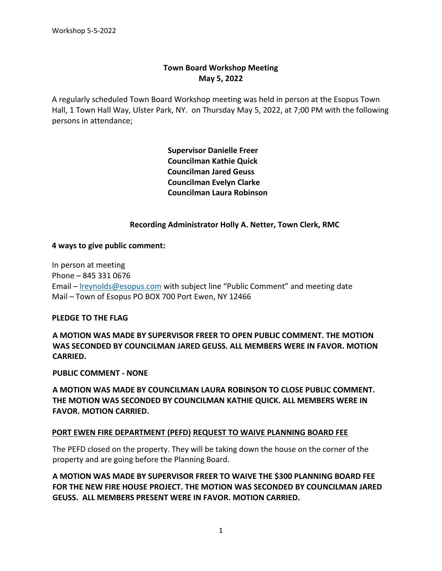# **Town Board Workshop Meeting May 5, 2022**

A regularly scheduled Town Board Workshop meeting was held in person at the Esopus Town Hall, 1 Town Hall Way, Ulster Park, NY. on Thursday May 5, 2022, at 7;00 PM with the following persons in attendance;

> **Supervisor Danielle Freer Councilman Kathie Quick Councilman Jared Geuss Councilman Evelyn Clarke Councilman Laura Robinson**

## **Recording Administrator Holly A. Netter, Town Clerk, RMC**

### **4 ways to give public comment:**

In person at meeting Phone – 845 331 0676 Email – [lreynolds@esopus.com](mailto:lreynolds@esopus.com) with subject line "Public Comment" and meeting date Mail – Town of Esopus PO BOX 700 Port Ewen, NY 12466

**PLEDGE TO THE FLAG** 

**A MOTION WAS MADE BY SUPERVISOR FREER TO OPEN PUBLIC COMMENT. THE MOTION WAS SECONDED BY COUNCILMA[N JARED GEUSS.](mailto:jgeuss@esopus.com) ALL MEMBERS WERE IN FAVOR. MOTION CARRIED.**

**PUBLIC COMMENT - NONE**

**A MOTION WAS MADE BY COUNCILMAN [LAURA ROBINSON](mailto:lrobinson@esopus.com) TO CLOSE PUBLIC COMMENT. THE MOTION WAS SECONDED BY COUNCILMAN [KATHIE QUICK.](mailto:kquick@esopus.com) ALL MEMBERS WERE IN FAVOR. MOTION CARRIED.**

## **PORT EWEN FIRE DEPARTMENT (PEFD) REQUEST TO WAIVE PLANNING BOARD FEE**

The PEFD closed on the property. They will be taking down the house on the corner of the property and are going before the Planning Board.

**A MOTION WAS MADE BY SUPERVISOR FREER TO WAIVE THE \$300 PLANNING BOARD FEE FOR THE NEW FIRE HOUSE PROJECT. THE MOTION WAS SECONDED BY COUNCILMAN JARED GEUSS. ALL MEMBERS PRESENT WERE IN FAVOR. MOTION CARRIED.**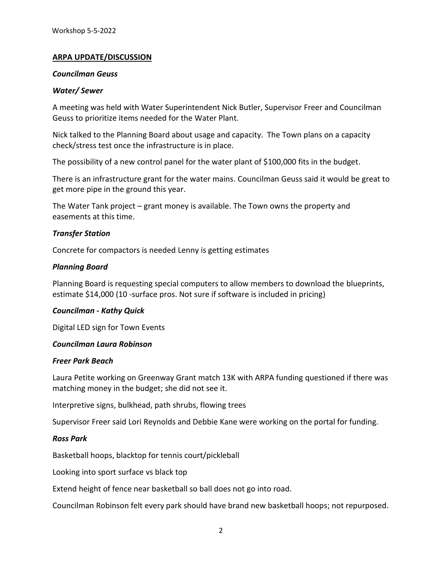## **ARPA UPDATE/DISCUSSION**

#### *Councilman Geuss*

#### *Water/ Sewer*

A meeting was held with Water Superintendent Nick Butler, Supervisor Freer and Councilman Geuss to prioritize items needed for the Water Plant.

Nick talked to the Planning Board about usage and capacity. The Town plans on a capacity check/stress test once the infrastructure is in place.

The possibility of a new control panel for the water plant of \$100,000 fits in the budget.

There is an infrastructure grant for the water mains. Councilman Geuss said it would be great to get more pipe in the ground this year.

The Water Tank project – grant money is available. The Town owns the property and easements at this time.

### *Transfer Station*

Concrete for compactors is needed Lenny is getting estimates

### *Planning Board*

Planning Board is requesting special computers to allow members to download the blueprints, estimate \$14,000 (10 -surface pros. Not sure if software is included in pricing)

#### *Councilman - Kathy Quick*

Digital LED sign for Town Events

#### *Councilman Laura Robinson*

#### *Freer Park Beach*

Laura Petite working on Greenway Grant match 13K with ARPA funding questioned if there was matching money in the budget; she did not see it.

Interpretive signs, bulkhead, path shrubs, flowing trees

Supervisor Freer said Lori Reynolds and Debbie Kane were working on the portal for funding.

#### *Ross Park*

Basketball hoops, blacktop for tennis court/pickleball

Looking into sport surface vs black top

Extend height of fence near basketball so ball does not go into road.

Councilman Robinson felt every park should have brand new basketball hoops; not repurposed.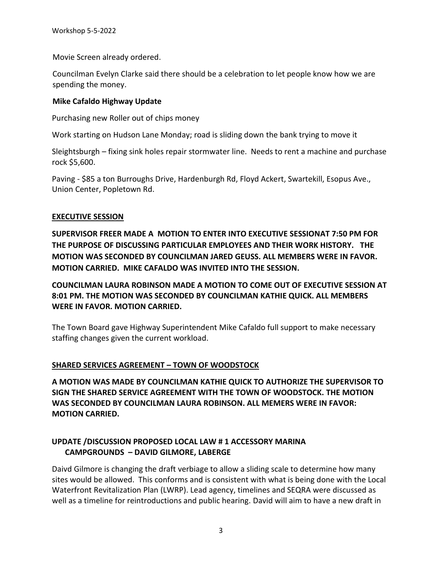Movie Screen already ordered.

Councilman Evelyn Clarke said there should be a celebration to let people know how we are spending the money.

## **Mike Cafaldo Highway Update**

Purchasing new Roller out of chips money

Work starting on Hudson Lane Monday; road is sliding down the bank trying to move it

Sleightsburgh – fixing sink holes repair stormwater line. Needs to rent a machine and purchase rock \$5,600.

Paving - \$85 a ton Burroughs Drive, Hardenburgh Rd, Floyd Ackert, Swartekill, Esopus Ave., Union Center, Popletown Rd.

## **EXECUTIVE SESSION**

**SUPERVISOR FREER MADE A MOTION TO ENTER INTO EXECUTIVE SESSIONAT 7:50 PM FOR THE PURPOSE OF DISCUSSING PARTICULAR EMPLOYEES AND THEIR WORK HISTORY. THE MOTION WAS SECONDED BY COUNCILMAN JARED GEUSS. ALL MEMBERS WERE IN FAVOR. MOTION CARRIED. MIKE CAFALDO WAS INVITED INTO THE SESSION.**

**COUNCILMAN LAURA ROBINSON MADE A MOTION TO COME OUT OF EXECUTIVE SESSION AT 8:01 PM. THE MOTION WAS SECONDED BY COUNCILMAN KATHIE QUICK. ALL MEMBERS WERE IN FAVOR. MOTION CARRIED.** 

The Town Board gave Highway Superintendent Mike Cafaldo full support to make necessary staffing changes given the current workload.

## **SHARED SERVICES AGREEMENT – TOWN OF WOODSTOCK**

**A MOTION WAS MADE BY COUNCILMAN KATHIE QUICK TO AUTHORIZE THE SUPERVISOR TO SIGN THE SHARED SERVICE AGREEMENT WITH THE TOWN OF WOODSTOCK. THE MOTION WAS SECONDED BY COUNCILMAN LAURA ROBINSON. ALL MEMERS WERE IN FAVOR: MOTION CARRIED.** 

# **UPDATE /DISCUSSION PROPOSED LOCAL LAW # 1 ACCESSORY MARINA CAMPGROUNDS – DAVID GILMORE, LABERGE**

Daivd Gilmore is changing the draft verbiage to allow a sliding scale to determine how many sites would be allowed. This conforms and is consistent with what is being done with the Local Waterfront Revitalization Plan (LWRP). Lead agency, timelines and SEQRA were discussed as well as a timeline for reintroductions and public hearing. David will aim to have a new draft in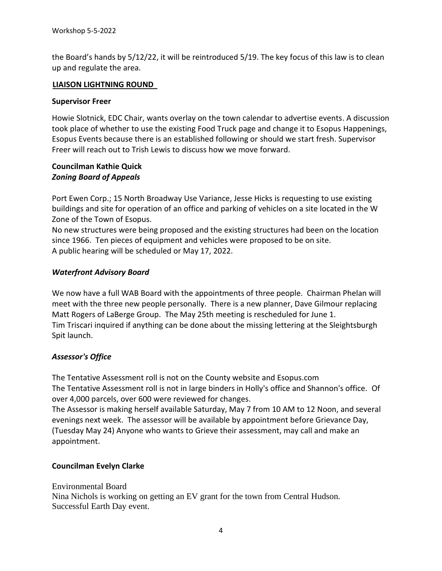the Board's hands by 5/12/22, it will be reintroduced 5/19. The key focus of this law is to clean up and regulate the area.

### **LIAISON LIGHTNING ROUND**

### **Supervisor Freer**

Howie Slotnick, EDC Chair, wants overlay on the town calendar to advertise events. A discussion took place of whether to use the existing Food Truck page and change it to Esopus Happenings, Esopus Events because there is an established following or should we start fresh. Supervisor Freer will reach out to Trish Lewis to discuss how we move forward.

## **Councilman Kathie Quick**  *Zoning Board of Appeals*

Port Ewen Corp.; 15 North Broadway Use Variance, Jesse Hicks is requesting to use existing buildings and site for operation of an office and parking of vehicles on a site located in the W Zone of the Town of Esopus.

No new structures were being proposed and the existing structures had been on the location since 1966. Ten pieces of equipment and vehicles were proposed to be on site. A public hearing will be scheduled or May 17, 2022.

## *Waterfront Advisory Board*

We now have a full WAB Board with the appointments of three people. Chairman Phelan will meet with the three new people personally. There is a new planner, Dave Gilmour replacing Matt Rogers of LaBerge Group. The May 25th meeting is rescheduled for June 1. Tim Triscari inquired if anything can be done about the missing lettering at the Sleightsburgh Spit launch.

# *Assessor's Office*

The Tentative Assessment roll is not on the County website and Esopus.com The Tentative Assessment roll is not in large binders in Holly's office and Shannon's office. Of over 4,000 parcels, over 600 were reviewed for changes.

The Assessor is making herself available Saturday, May 7 from 10 AM to 12 Noon, and several evenings next week. The assessor will be available by appointment before Grievance Day, (Tuesday May 24) Anyone who wants to Grieve their assessment, may call and make an appointment.

## **Councilman Evelyn Clarke**

# Environmental Board

Nina Nichols is working on getting an EV grant for the town from Central Hudson. Successful Earth Day event.